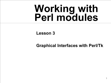# **Working with Perl modules**

**Lesson 3**

**Graphical Interfaces with Perl/Tk**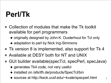## **Perl/Tk**

- Collection of modules that make the Tk toolkit available for perl programmers
	- ◆ originally designed by John K. Ousterhout for Tcl only
	- ◆ adaptation to perl by Nick Ing-Simmons
- Tk version 8 is implemented, also support for Tk 4
- Available at DESY both for NT and UNIX
- GUI builder available(specTcl, specPerl, specJava)
	- ◆ generates Tk4 code, not very useful
	- ◆ installed on /afs/ifh.de/products/SpecTcl/bin
	- ◆ sources at http://keck.ucsf.edu/~kvale/specperl.html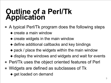#### **Outline of a Perl/Tk Application**

- A typical Perl/Tk program does the following steps
	- ◆ create a main window
	- ◆ create widgets in the main window
	- ◆ define additional callbacks and key bindings
	- ◆ pack / place the widgets within the main window
	- ◆ display the windows and widgets and wait for events
- Perl/Tk uses the object oriented features of Perl
- Widgets are defined as subclasses of Tk
	- ◆ get loaded on demand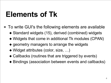## **Elements of Tk**

- To write GUI's the following elements are available
	- ◆ Standard widgets (15), derived (combined) widgets
	- ◆ Widgets that come in additional Tk modules (CPAN)
	- ◆ geometry managers to arrange the widgets
	- ◆ Widget attributes (color, size, …)
	- ◆ Callbacks (routines that are triggered by events)
	- ◆ Bindings (association between events and callbacks)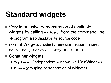## **Standard widgets**

■ Very impressive demonstration of available widgets by calling **widget** from the command line

◆ program also displays its source code

- normal Widgets : **Label, Button, Menu, Text, Scrollbar, Canvas, Entry** and others
- Container widgets
	- ◆ **Toplevel** (independent window like MainWindow)
	- ◆ **Frame** (grouping or separation of widgets)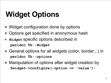## **Widget Options**

- Widget configuration done by options
- Options get specified in anonymous hash
- *Widget* specific options described in **perldoc Tk::***Widget*
- General options for all widgets (color, border,..) in **perldoc Tk::options**
- Manipulation of options after widget creation by **\$widget->configure(-***option => 'value');*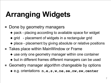## **Arranging Widgets**

- Done by geometry managers
	- ◆ pack placing according to available space for widget
	- ◆ grid placement of widgets in a rectangular grid
	- ◆ place placement by giving absolute or relative positions
- Takes place within MainWindow or Frame
	- ◆ use only one geometry manager within one container
	- ◆ but in different frames different managers can be used
- Geometry manager algorithm changeable by options ◆ e.g. orientations **n,e,s,w,ne,se,nw,sw,center**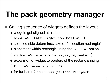### **The pack geometry manager**

Calling sequence of widgets defines the layout ◆ widgets get aligned at a side:

(**-side => 'left,right,top,bottom'** )

- ◆ selected side determines size of "allocation rectangle"
- ◆ placement within rectangle using the -**anchor** option

(**-anchor => 'n,e,s,w,ne,se,sw,nw,center'**)

◆ expansion of widget to borders of the rectangle using

(**-fill => 'none,x,y,both')**

◆ for further information see **perldoc Tk::pack**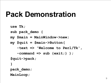#### **Pack Demonstration**

```
use Tk;
sub pack_demo {
my $main = MainWindow->new;
my $quit = $main->Button(
   -text => 'Welcome to Perl/Tk'
,
   -command => sub {exit;} );
$quit->pack;
}
pack_demo;
MainLoop;
```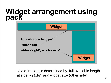#### **Widget arrangement using pack**



size of rectangle determined by full available length at side '-side' and widget size (other side)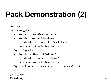## **Pack Demonstration (2)**

```
use Tk;
sub pack_demo {
 my $main = MainWindow->new;
 my $quit = $main->Button(
     -text => 'Welcome to Perl/Tk'
,
     -command => sub {exit;} );
  $quit->pack;
 my $quit2 = $main->Button(
     -text => 'another button'
,
     -command => sub {exit;} );
  $quit2->pack(-side=>'right'
,-anchor=>'s');
}
pack_demo;
MainLoop;
```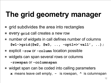## **The grid geometry manager**

- grid subdivides the area into rectangles
- every **grid** call creates a new row
- number of widgets in call defines number of columns **\$w1->grid(\$w2, \$w3, .., -opt1=>'val1' , ..);**
- explicit row or column location possible
- widgets can span several rows or columns **-rowspan** or **-columnspan**
- widget span can be coded into calling parameters **x** means leave cell empty, **-** is rowspan, **^** is columnspan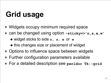## **Grid usage**

- Widgets occupy minimum required space
- can be changed using option -sticky=>'n,s,e,w'
	- ◆ widget sticks to side **n, s, e** or **w**
	- ◆ this changes size or placement of widget
- Options to influence space between widgets
- Further configuration parameters available
- For a detailed description see **perldoc Tk::grid**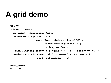## **A grid demo**

```
use Tk;
sub grid_demo {
  my $main = MainWindow->new;
  $main->Button(-text=>'1')
                 ->grid($main->Button(-text=>'2'),
                        $main->Button(-text=>'3'),
                        -sticky => 'ew');
  $main->Button(-text=>'4')->grid('-'
,
'x'
, -sticky => 'ew');
  $main->Button(-text=>'quit'
, -command => sub {exit;})
                ->grid(-columnspan => 3);
}
grid_demo;
MainLoop;
```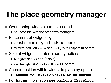## **The place geometry manager**

- Overlapping widgets can be created
	- ◆ not possible with the other two managers
- Placement of widgets by
	- ◆ coordinates **x** and **y** (units: pixels on screen)
	- ◆ relative position **relx** and **rely** with respect to parent
- Size of widgets is determined by options
	- ◆ **height** and **width** (pixels)
	- ◆ **relheight** and **relwidth** w.r.t. parent
- Anchor position within widget to place by option
	- ◆ **-anchor => 'n,e,s,w,ne,se,nw,sw,center'**
- For further information see **perldoc Tk::place**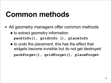### **Common methods**

- All geometry managers offer common methods ◆ to extract geometry information **packInfo(), gridInfo (), placeInfo**
	- ◆ to undo the placement, this has the effect that widgets become invisible but do not get destroyed

**packForget(), gridForget(), placeForget**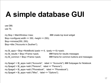## **A simple database GUI**

use DBI; use Tk;

```
my $top = MainWindow->new; ### create top level widget
$top\text{-}configure(-width \implies 350, -height \implies 250);$top->minsize(350, 250);
$top->title ("Accounts in Zeuthen");
```

```
my $t_apps = $top->NoteBook(-ipadx => 6, -ipady => 6)->pack;
my $t_results = $top->Frame->pack; ### frame for results messages
my $t_common = $top->Frame->pack; ### frame for common buttons and messages
```

```
my $page1 = $t_apps->add ("Accounts", -label => "Accounts"); \# \# \# Subpages for Notebook
my space2 = $t apps->add ("Persons", -label => "Persons");
my space3 = $t apps->add ("Phonebook", -label => "Phonebook");
my space4 = $t apps->add ("Misc", -label => "Options");
```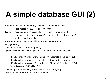## **A simple database GUI (2)**

```
%comp = \alpha accountname => '%', uid => ", homedir => '%%'
          , expiredate => '%', shell => '%%');
%table = ( accountname \Rightarrow 'Account',  uid \Rightarrow 'Unix User Id'
         , homedir => 'Home Directory', expiredate => 'Expire Date'
         , shell \Rightarrow 'Login shell' );
@entries = qw( accountname uid homedir expiredate shell );
for (@entries) {
 my $fram = $page1->Frame->pack();
 $fram->Menubutton(-text => $table{$_}, -width =>20, -menuitems =>
     [
       [Radiobutton => 'starts with', -variable => \Scomp{$}, -value => '%'].
       [Radiobutton \implies 'equals', -variable \implies \$comp\ }, -value => ''],
       [Radiobutton => 'contains', -variable => \$comp{$ }, -value => '%%'],
     ]->pack(-side => 'left', -fill => 'x');
 my $entry = $fram->Entry(-textvariable => \$shown{$ \} ->pack();
 $entry->bind('<Key-Return>', \&main::search);
}
```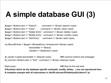## **A simple database GUI (3)**

 $\text{Space1}$ ->Button(-text => "Search", -command => \&main::search)->pack;  $\text{Space1}$ ->Button(-text => "Clear",  $\qquad \text{command} => \& \text{main::clear}$ )->pack; \$page1->Button(-text => "Delete Entry", -command => \&main::delete)->pack; \$page1->Button(-text => "Modify Entry", -command => \&main::modify)->pack; \$page1->Button(-text => "Add Entry", -command => \&main::add)->pack;

my \$foundEntries = \$page1->BrowseEntry (-browsecmd=>\&main::select, -textvariable => \\$result, -variable => \\$selection)->pack;

```
$t results->Label(-textvariable => \$result)->pack; \# \# \# common buttons and messages
$t_common->Button(-text => "Exit", -command => \&main::cleanup)->pack;
```
MainLoop(); MainLoop(); All the real work and the real work in the real work and the real work in the real work **# Routines which do the database specific work(add, modify, delete,…) are not reproduced here # complete example with all subroutines in /afs/ifh.de/user/f/friebel/public/demo11.pl**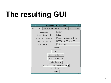# **The resulting GUI**

| 45<br><b>Accounts in Zeuthen</b>  |                     |                      |
|-----------------------------------|---------------------|----------------------|
|                                   | Accounts   Personen | Telefonbuch Optionen |
| Account                           |                     | arinyo               |
| Unix User Id                      |                     | 5439                 |
| Home Directory                    |                     | /home/hydra/arinyo   |
| Expire Datum                      |                     | 2000013100:00:00     |
| Loginshell                        |                     | /bin/ksh             |
| Search                            |                     |                      |
|                                   |                     | Clear                |
| Delete Entry                      |                     |                      |
| Modify Entry                      |                     |                      |
| Add Entry                         |                     |                      |
| arinyo;5439;/home/hy <del>↓</del> |                     |                      |
| Found 10 entries                  |                     |                      |
| Exit                              |                     |                      |
|                                   |                     |                      |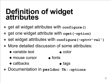#### **Definition of widget attributes**

- get all widget attributes with configure()
- get one widget attribute with **cget(-option)**
- set widget attributes with **configure(-opt=>'val')**
- More detailed discussion of some attributes:
	- ◆ variable text → color
	- ◆ mouse cursor ◆ fonts
	- ◆ callbacks ◆ tags
- Documentation in **perldoc Tk::options**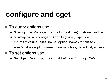### **configure and cget**

- To query options use
	- ◆ **\$curopt = \$widget->cget(-option); #one value**
	- ◆ **@curopts = \$widget->configure(-option);** returns 2 values (alias\_name, option\_name) for aliases else 5 values (optionname, dbname, class, defaultval, actval)
- To set options use
	- ◆ **\$widget->configure(-opt1=>'val1',-opt2=>…);**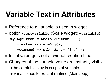#### **Variable Text in Attributes**

- Reference to a variable is used in widget
- option -**textvariable** (Scale widget: **-variable**) **my \$qbutton = \$main->Button ( -textvariable => \\$a,**

**-command => sub {\$a .= "!";} );**

- Initial value gets set at widget creation time
- Changes of the variable value are instantly visible
	- ◆ be careful to stay in scope of variable
	- ◆ variable has to exist at runtime (MainLoop)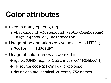### **Color attributes**

- used in many options, e.g.
	- ◆ **-background,-foreground,-activebackground -highlightcolor,-selectcolor**
- Usage of hex notation (rgb values like in HTML)
	- ◆ **\$color = "#d9d9d9";**
- Usage of color names as defined in
	- ◆ rgb.txt (UNIX, e.g. for SuSE in /usr/X11R6/lib/X11)
	- ◆ Tk source code (pTk/mTk/xlib/xcolors.c)
	- ◆ definitions are identical, currently 752 names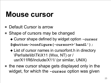#### **Mouse cursor**

- Default Cursor is arrow
- Shape of cursors may be changed
	- ◆ Cursor shape defined by widget option **-cursor**

**\$qbutton->configure(-cursor=>'hand1');**

- ◆ List of cursor names in cursorfont.h in directory \Perl\site\lib\Tk\X11 (Wxx, NT) or / usr/X11R6/include/X11/ (or similar, UNIX)
- the new cursor shape gets displayed only in the widget, for which the **-cursor** option was given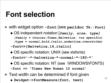#### **Font selection**

- with widget option **-font** (see **perldoc Tk::Font)**
	- ◆ OS independent notation [*family, size, type] (family = Courier,Times,Helvetica, +os specific) (type = normal,bold,italic,underline,overstrike)*
	- **-font=>[Helvetica,14,italic]**
	- ◆ OS specific notation: UNIX (see xIsfonts)
	- **-font=>'-\*-helvetica-\*-normal-\*-180-\*'**
	- ◆ OS specific notation: NT (see \WINDOWS\FONTS)
	- **-font => 'Times New Roman 12 normal'**
- Text width can be determined if font given
	- ◆ **\$widget->fontMeasure(font, text)**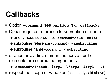#### **Callbacks**

- Option **-command** see **perldoc Tk::callbacks**
- Option requires reference to subroutine or name
	- ◆ anonymous subroutine: -**command=>sub {exit}**
	- ◆ subroutine reference -**command=>\&subroutine**
	- ◆ subroutine name -**command=>'subroutine'**
- or anon array, first element as above, further elements are subroutine arguments

◆ -**command=>[\&sub, \$arg1, \@arg2, \$arg3 ...]**

respect the scope of variables (as already said above)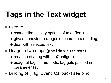# **Tags in the Text widget**

#### used to

- ◆ change the display options of text (font)
- ◆ give a behavior to ranges of characters (binding)
- ◆ deal with selected text
- Usage in two steps (**perldoc Tk::Text**)
	- ◆ creation of a tag with tagConfigure
	- ◆ usage of tags in methods, tag gets passed in parameter list
- Binding of (Tag, Event, Callback) see bind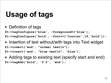## **Usage of tags**

■ Definition of tags

**\$t->tagConfigure('blue', -foreground=>'blue');**

**\$t->tagConfigure('bold', -font=>['Courier',14,'bold']);**

- Insertion of text without/with tags into Text widget **\$t->insert('end', "normal text\n"); \$t->insert('end', "blue text\n", 'blue');**
- Adding tags to existing text (specify start and end) **\$t->tagAdd('bold', '2.0', 'end');**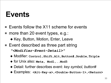#### **Events**

- Events follow the X11 scheme for events
- more than 20 event types, e.g.:
	- ◆ Key, Button, Motion, Enter, Leave
- Event described as three part string

*"<Modifier-Event-Detail>"*

- ◆ Modifier: **Control,Shift,Alt,Button#,Double,Triple**
- ◆ for Unix also: **Meta, Mod1,..Mod5**
- ◆ Detail: further describes event: *key symbol, button#*
- ◆ Examples: **<Alt-Key-a>,<Double-Button-1>,<Return>**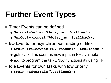## **Further Event Types**

- Timer Events can be defined
	- ◆ **\$widget->after(\$delay\_ms, \$callback);**
	- ◆ **\$widget->repeat(\$delay\_ms, \$callback);**
- I/O Events for asynchronous reading of files
	- ◆ **\$main->fileevent(FH,'readable',\$callback);**
	- ◆ gets called as soon as new input in FH available
	- ◆ e.g. to program the tail(UNIX) functionality using Tk
- Idle Events for own tasks with low priority
	- ◆ **\$main->afterIdle(\&callback);**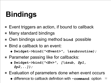## **Bindings**

- Event triggers an action, if bound to callback
- Many standard bindings
- Own bindings using method **bind** possible
- Bind a callback to an event:
	- ◆ **\$widget->bind(***"<Event>", \&subroutine);*
- Parameter passing like for callbacks:
	- ◆ **\$widget->bind(***"<Ev>", [\&sub, \$p1, \$p2,..]);*
- Evaluation of parameters done when event occurs
	- 32 ◆ difference to callback definition with **-command** option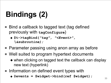# **Bindings (2)**

- Bind a callback to tagged text (tag defined previously with **tagConfigure**)
	- ◆ **\$t->tagBind(***"tag", "<Event>", \&subroutine);*
- Parameter passing using anon array as before
- Well suited to program hypertext documents
	- ◆ when clicking on tagged text the callback can display new text (hyperlink)
- Information on defined event types with
	- ◆ **@events = \$widget->bind(ref \$widget);**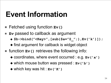## **Event Information**

- Fetched using function **Ev()**
- **Ev** passed to callback as argument
	- ◆ **\$b->bind("<Key>",[sub{\$a="@\_";},Ev('k')]);**
	- ◆ first argument for callback is widget object
- function **Ev()** retrieves the following info:
	- ◆ coordinates, where event occurred : e.g. **Ev('x')**
	- ◆ which mouse button was pressed : **Ev('b')**
	- ◆ which key was hit : **Ev('K')**